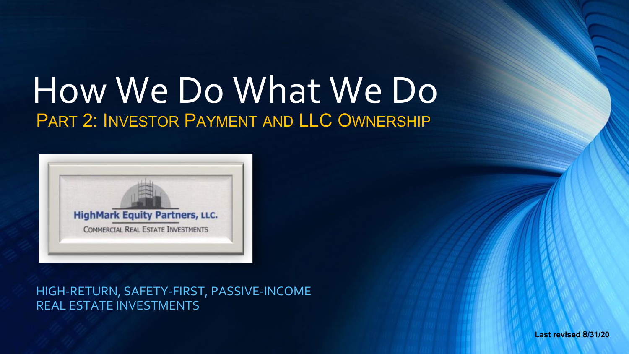# How We Do What We Do PART 2: INVESTOR PAYMENT AND LLC OWNERSHIP



HIGH-RETURN, SAFETY-FIRST, PASSIVE-INCOME REAL ESTATE INVESTMENTS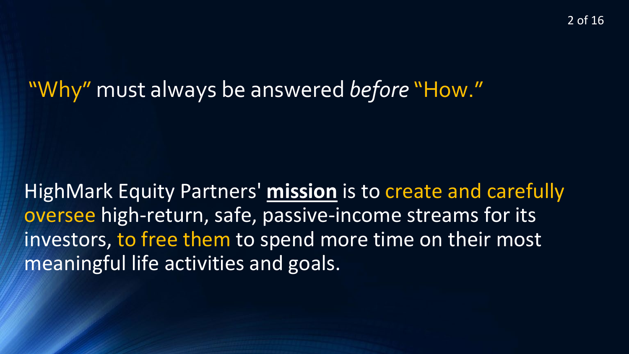2 of 16

#### "Why" must always be answered *before* "How."

HighMark Equity Partners' **mission** is to create and carefully oversee high-return, safe, passive-income streams for its investors, to free them to spend more time on their most meaningful life activities and goals.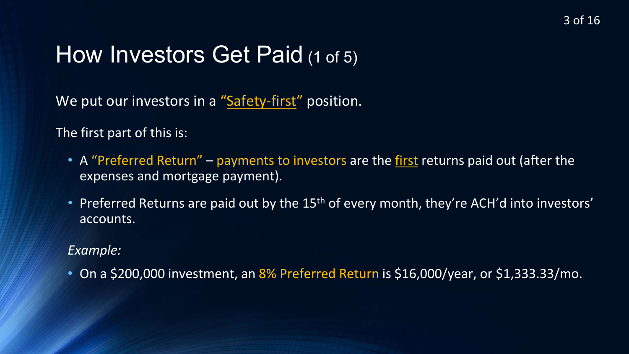#### How Investors Get Paid (1 of 5)

We put our investors in a "Safety-first" position.

The first part of this is:

- A "Preferred Return" payments to investors are the first returns paid out (after the expenses and mortgage payment).
- Preferred Returns are paid out by the 15<sup>th</sup> of every month, they're ACH'd into investors' accounts.

#### *Example:*

• On a \$200,000 investment, an 8% Preferred Return is \$16,000/year, or \$1,333.33/mo.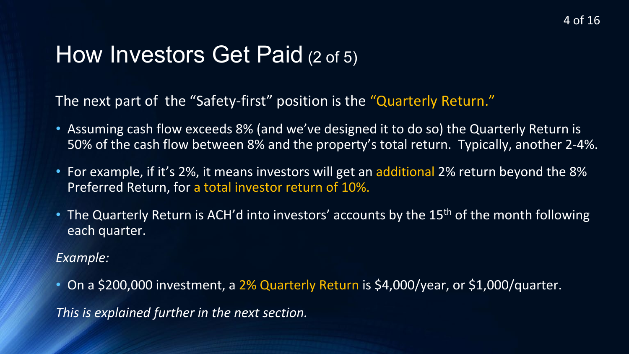### How Investors Get Paid (2 of 5)

The next part of the "Safety-first" position is the "Quarterly Return."

- Assuming cash flow exceeds 8% (and we've designed it to do so) the Quarterly Return is 50% of the cash flow between 8% and the property's total return. Typically, another 2-4%.
- For example, if it's 2%, it means investors will get an additional 2% return beyond the 8% Preferred Return, for a total investor return of 10%.
- The Quarterly Return is ACH'd into investors' accounts by the 15<sup>th</sup> of the month following each quarter.

*Example:* 

• On a \$200,000 investment, a 2% Quarterly Return is \$4,000/year, or \$1,000/quarter. *This is explained further in the next section.*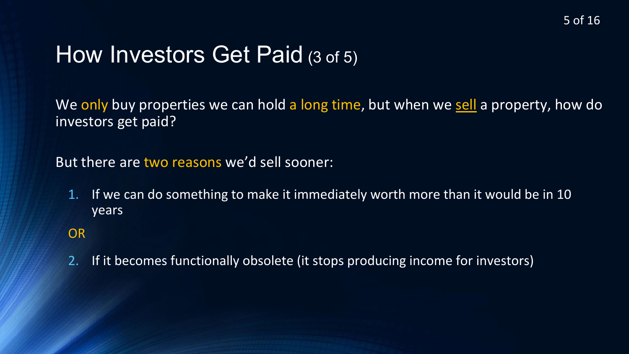### How Investors Get Paid (3 of 5)

We only buy properties we can hold a long time, but when we sell a property, how do investors get paid?

But there are two reasons we'd sell sooner:

1. If we can do something to make it immediately worth more than it would be in 10 years

#### OR

2. If it becomes functionally obsolete (it stops producing income for investors)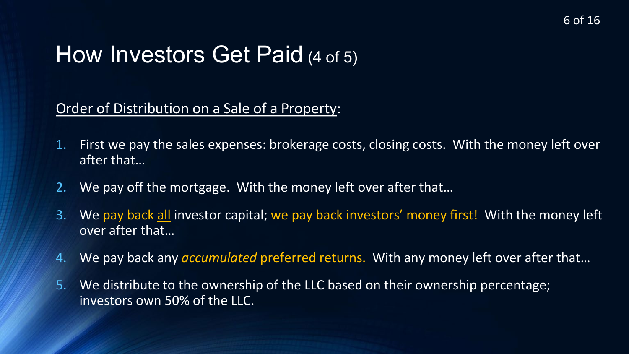### How Investors Get Paid (4 of 5)

#### Order of Distribution on a Sale of a Property:

- 1. First we pay the sales expenses: brokerage costs, closing costs. With the money left over after that…
- 2. We pay off the mortgage. With the money left over after that…
- 3. We pay back all investor capital; we pay back investors' money first! With the money left over after that…
- 4. We pay back any *accumulated* preferred returns. With any money left over after that…
- 5. We distribute to the ownership of the LLC based on their ownership percentage; investors own 50% of the LLC.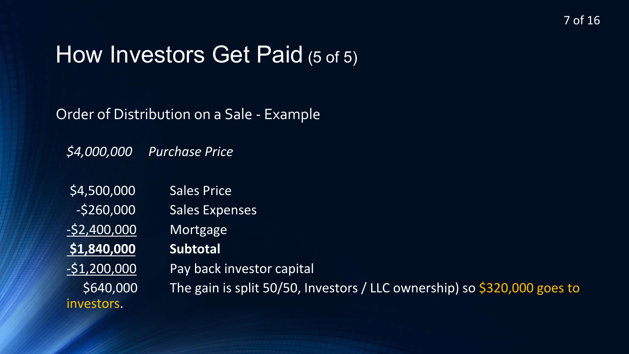### How Investors Get Paid (5 of 5)

Order of Distribution on a Sale - Example

*\$4,000,000 Purchase Price*

\$4,500,000 Sales Price -\$260,000 Sales Expenses -\$2,400,000 Mortgage **\$1,840,000 Subtotal** -\$1,200,000 Pay back investor capital

investors.

\$640,000 The gain is split 50/50, Investors / LLC ownership) so \$320,000 goes to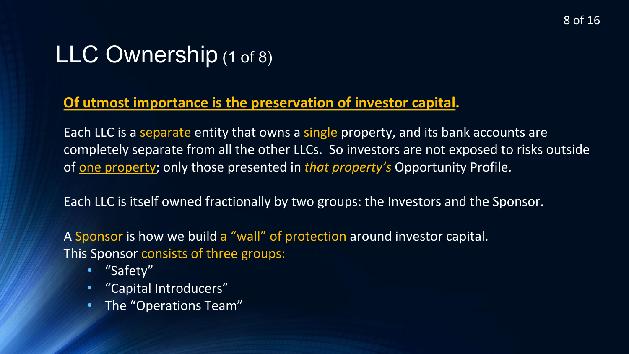# LLC Ownership (1 of 8)

#### **Of utmost importance is the preservation of investor capital.**

Each LLC is a separate entity that owns a single property, and its bank accounts are completely separate from all the other LLCs. So investors are not exposed to risks outside of one property; only those presented in *that property's* Opportunity Profile.

Each LLC is itself owned fractionally by two groups: the Investors and the Sponsor.

A Sponsor is how we build a "wall" of protection around investor capital. This Sponsor consists of three groups:

- "Safety"
- "Capital Introducers"
- The "Operations Team"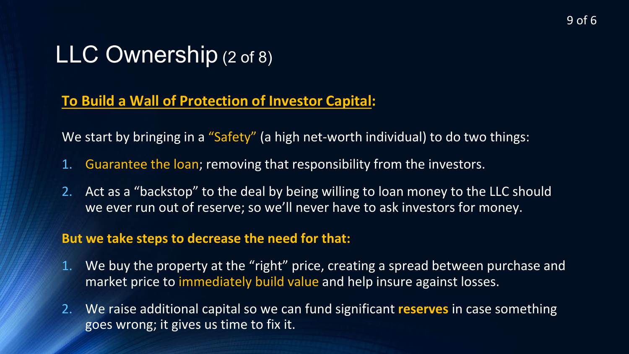### LLC Ownership (2 of 8)

#### **To Build a Wall of Protection of Investor Capital:**

We start by bringing in a "Safety" (a high net-worth individual) to do two things:

- 1. Guarantee the loan; removing that responsibility from the investors.
- 2. Act as a "backstop" to the deal by being willing to loan money to the LLC should we ever run out of reserve; so we'll never have to ask investors for money.

#### **But we take steps to decrease the need for that:**

- 1. We buy the property at the "right" price, creating a spread between purchase and market price to immediately build value and help insure against losses.
- 2. We raise additional capital so we can fund significant **reserves** in case something goes wrong; it gives us time to fix it.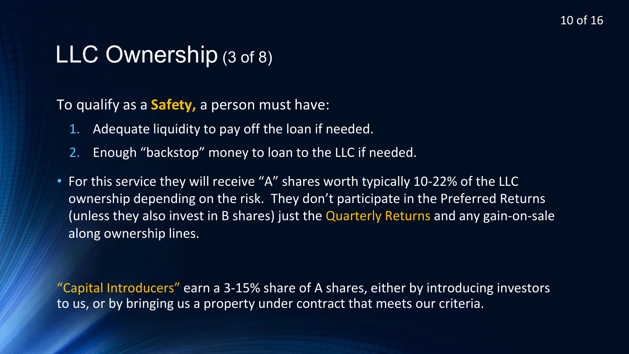### LLC Ownership (3 of 8)

To qualify as a **Safety,** a person must have:

- 1. Adequate liquidity to pay off the loan if needed.
- 2. Enough "backstop" money to loan to the LLC if needed.
- For this service they will receive "A" shares worth typically 10-22% of the LLC ownership depending on the risk. They don't participate in the Preferred Returns (unless they also invest in B shares) just the Quarterly Returns and any gain-on-sale along ownership lines.

"Capital Introducers" earn a 3-15% share of A shares, either by introducing investors to us, or by bringing us a property under contract that meets our criteria.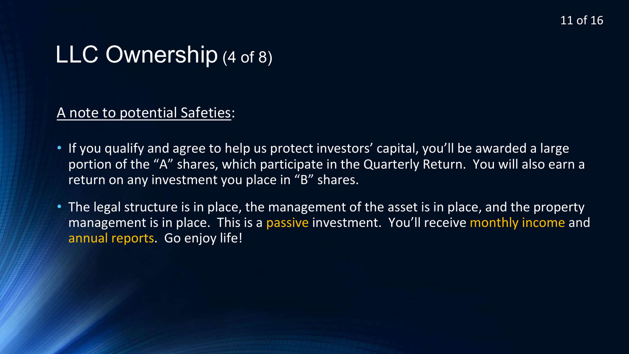### LLC Ownership (4 of 8)

A note to potential Safeties:

- If you qualify and agree to help us protect investors' capital, you'll be awarded a large portion of the "A" shares, which participate in the Quarterly Return. You will also earn a return on any investment you place in "B" shares.
- The legal structure is in place, the management of the asset is in place, and the property management is in place. This is a passive investment. You'll receive monthly income and annual reports. Go enjoy life!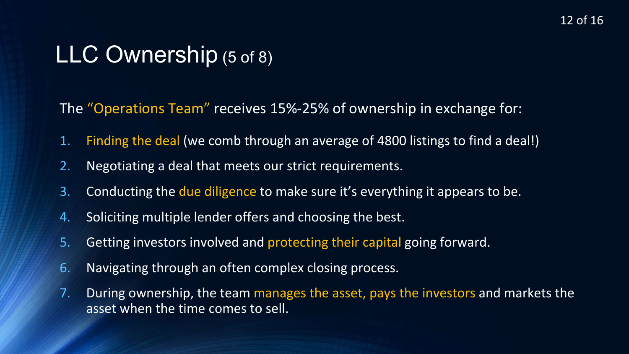### LLC Ownership (5 of 8)

The "Operations Team" receives 15%-25% of ownership in exchange for:

- 1. Finding the deal (we comb through an average of 4800 listings to find a deal!)
- 2. Negotiating a deal that meets our strict requirements.
- 3. Conducting the due diligence to make sure it's everything it appears to be.
- 4. Soliciting multiple lender offers and choosing the best.
- 5. Getting investors involved and protecting their capital going forward.
- 6. Navigating through an often complex closing process.
- 7. During ownership, the team manages the asset, pays the investors and markets the asset when the time comes to sell.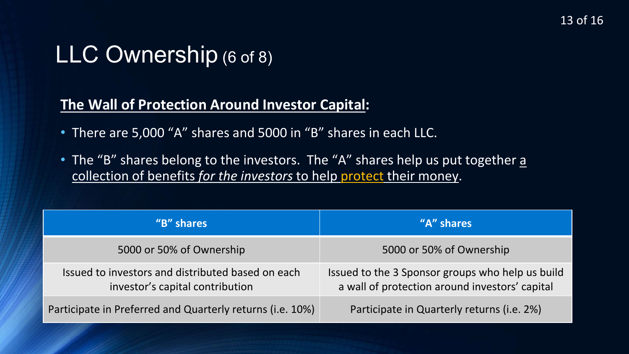### LLC Ownership (6 of 8)

#### **The Wall of Protection Around Investor Capital:**

- There are 5,000 "A" shares and 5000 in "B" shares in each LLC.
- The "B" shares belong to the investors. The "A" shares help us put together a collection of benefits *for the investors* to help protect their money.

| "B" shares                                                                           | "A" shares                                                                                         |
|--------------------------------------------------------------------------------------|----------------------------------------------------------------------------------------------------|
| 5000 or 50% of Ownership                                                             | 5000 or 50% of Ownership                                                                           |
| Issued to investors and distributed based on each<br>investor's capital contribution | Issued to the 3 Sponsor groups who help us build<br>a wall of protection around investors' capital |
| Participate in Preferred and Quarterly returns (i.e. 10%)                            | Participate in Quarterly returns (i.e. 2%)                                                         |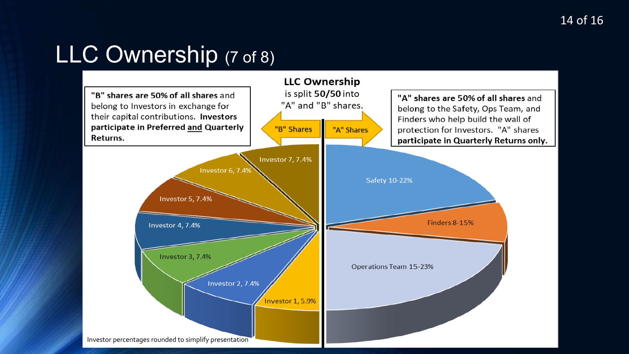# LLC Ownership (7 of 8)

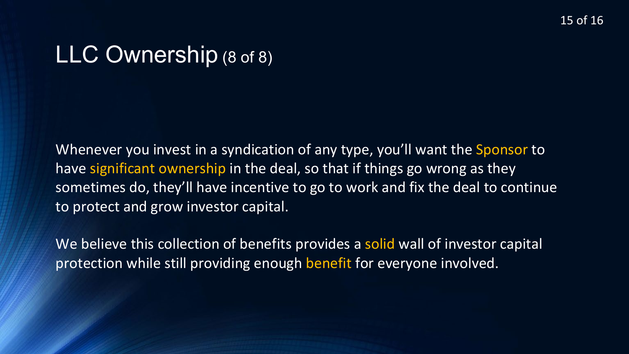#### LLC Ownership (8 of 8)

Whenever you invest in a syndication of any type, you'll want the Sponsor to have significant ownership in the deal, so that if things go wrong as they sometimes do, they'll have incentive to go to work and fix the deal to continue to protect and grow investor capital.

We believe this collection of benefits provides a solid wall of investor capital protection while still providing enough benefit for everyone involved.